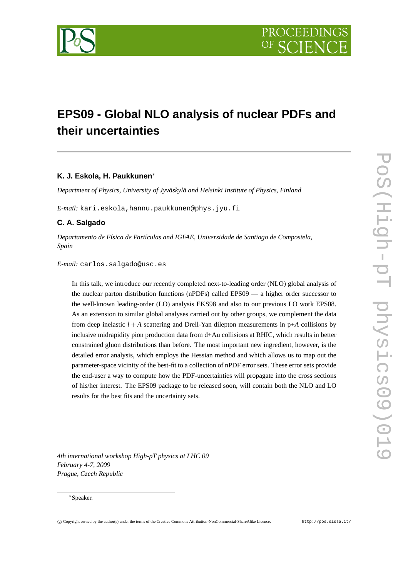

# **EPS09 - Global NLO analysis of nuclear PDFs and their uncertainties**

# **K. J. Eskola, H. Paukkunen**<sup>∗</sup>

*Department of Physics, University of Jyväskylä and Helsinki Institute of Physics, Finland*

*E-mail:* kari.eskola,hannu.paukkunen@phys.jyu.fi

# **C. A. Salgado**

*Departamento de Física de Partículas and IGFAE, Universidade de Santiago de Compostela, Spain*

*E-mail:* carlos.salgado@usc.es

In this talk, we introduce our recently completed next-to-leading order (NLO) global analysis of the nuclear parton distribution functions (nPDFs) called EPS09 — a higher order successor to the well-known leading-order (LO) analysis EKS98 and also to our previous LO work EPS08. As an extension to similar global analyses carried out by other groups, we complement the data from deep inelastic  $l + A$  scattering and Drell-Yan dilepton measurements in  $p+A$  collisions by inclusive midrapidity pion production data from d+Au collisions at RHIC, which results in better constrained gluon distributions than before. The most important new ingredient, however, is the detailed error analysis, which employs the Hessian method and which allows us to map out the parameter-space vicinity of the best-fit to a collection of nPDF error sets. These error sets provide the end-user a way to compute how the PDF-uncertainties will propagate into the cross sections of his/her interest. The EPS09 package to be released soon, will contain both the NLO and LO results for the best fits and the uncertainty sets.

*4th international workshop High-pT physics at LHC 09 February 4-7, 2009 Prague, Czech Republic*

# <sup>∗</sup>Speaker.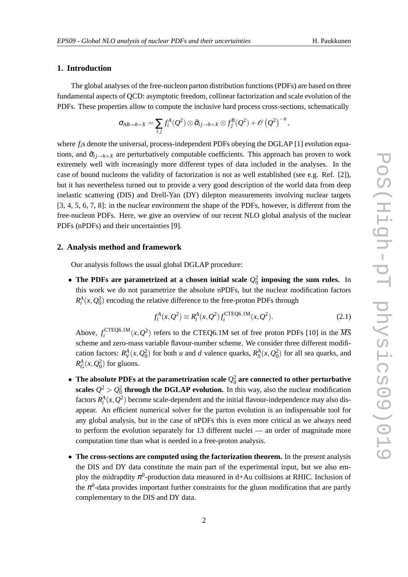# **1. Introduction**

The global analyses of the free-nucleon parton distribution functions (PDFs) are based on three fundamental aspects of QCD: asymptotic freedom, collinear factorization and scale evolution of the PDFs. These properties allow to compute the inclusive hard process cross-sections, schematically

$$
\sigma_{AB\rightarrow h+X}=\sum_{i,j}f_i^A(Q^2)\otimes\hat{\sigma}_{ij\rightarrow h+X}\otimes f_j^B(Q^2)+\mathscr{O}\left(Q^2\right)^{-n},
$$

where  $f_i$ s denote the universal, process-independent PDFs obeying the DGLAP [1] evolution equations, and  $\hat{\sigma}_{i}$ <sub>*i*→*h*+*X*</sub> are perturbatively computable coefficients. This approach has proven to work extremely well with increasingly more different types of data included in the analyses. In the case of bound nucleons the validity of factorization is not as well established (see e.g. Ref. [2]), but it has nevertheless turned out to provide a very good description of the world data from deep inelastic scattering (DIS) and Drell-Yan (DY) dilepton measurements involving nuclear targets [3, 4, 5, 6, 7, 8]: in the nuclear environment the shape of the PDFs, however, is different from the free-nucleon PDFs. Here, we give an overview of our recent NLO global analysis of the nuclear PDFs (nPDFs) and their uncertainties [9].

### **2. Analysis method and framework**

Our analysis follows the usual global DGLAP procedure:

• The PDFs are parametrized at a chosen initial scale  $Q_0^2$  imposing the sum rules. In this work we do not parametrize the absolute nPDFs, but the nuclear modification factors  $R_i^A(x,Q_0^2)$  encoding the relative difference to the free-proton PDFs through

$$
f_i^A(x, Q^2) \equiv R_i^A(x, Q^2) f_i^{\text{CTEQ6.1M}}(x, Q^2).
$$
 (2.1)

Above,  $f_i^{\text{CTEQ6.1M}}$  $\frac{CTEQ6.1M}{N}(x,Q^2)$  refers to the CTEQ6.1M set of free proton PDFs [10] in the  $\overline{MS}$ scheme and zero-mass variable flavour-number scheme. We consider three different modification factors:  $R_V^A(x, Q_0^2)$  for both *u* and *d* valence quarks,  $R_S^A(x, Q_0^2)$  for all sea quarks, and  $R_G^A(x, Q_0^2)$  for gluons.

- $\bullet$  The absolute PDFs at the parametrization scale  $Q_0^2$  are connected to other perturbative **scales**  $Q^2 > Q_0^2$  **through the DGLAP evolution.** In this way, also the nuclear modification factors  $R_i^A(x, Q^2)$  become scale-dependent and the initial flavour-independence may also disappear. An efficient numerical solver for the parton evolution is an indispensable tool for any global analysis, but in the case of nPDFs this is even more critical as we always need to perform the evolution separately for 13 different nuclei — an order of magnitude more computation time than what is needed in a free-proton analysis.
- **The cross-sections are computed using the factorization theorem.** In the present analysis the DIS and DY data constitute the main part of the experimental input, but we also employ the midrapdity  $\pi^0$ -production data measured in d+Au collisions at RHIC. Inclusion of the  $\pi^0$ -data provides important further constraints for the gluon modification that are partly complementary to the DIS and DY data.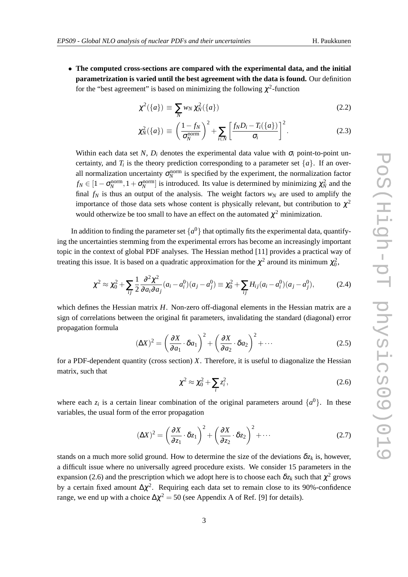• **The computed cross-sections are compared with the experimental data, and the initial parametrization is varied until the best agreement with the data is found.** Our definition for the "best agreement" is based on minimizing the following  $\chi^2$ -function

$$
\chi^2(\{a\}) \equiv \sum_N w_N \chi^2_N(\{a\}) \tag{2.2}
$$

$$
\chi_N^2(\{a\}) \equiv \left(\frac{1-f_N}{\sigma_N^{\text{norm}}}\right)^2 + \sum_{i \in N} \left[\frac{f_N D_i - T_i(\{a\})}{\sigma_i}\right]^2. \tag{2.3}
$$

Within each data set *N*,  $D_i$  denotes the experimental data value with  $\sigma_i$  point-to-point uncertainty, and  $T_i$  is the theory prediction corresponding to a parameter set  $\{a\}$ . If an overall normalization uncertainty  $\sigma_N^{\text{norm}}$  is specified by the experiment, the normalization factor  $f_N \in [1 - \sigma_N^{\text{norm}}, 1 + \sigma_N^{\text{norm}}]$  is introduced. Its value is determined by minimizing  $\chi^2_N$  and the final  $f_N$  is thus an output of the analysis. The weight factors  $w_N$  are used to amplify the importance of those data sets whose content is physically relevant, but contribution to  $\chi^2$ would otherwize be too small to have an effect on the automated  $\chi^2$  minimization.

In addition to finding the parameter set  $\{a^0\}$  that optimally fits the experimental data, quantifying the uncertainties stemming from the experimental errors has become an increasingly important topic in the context of global PDF analyses. The Hessian method [11] provides a practical way of treating this issue. It is based on a quadratic approximation for the  $\chi^2$  around its minimum  $\chi_0^2$ ,

$$
\chi^2 \approx \chi_0^2 + \sum_{ij} \frac{1}{2} \frac{\partial^2 \chi^2}{\partial a_i \partial a_j} (a_i - a_i^0)(a_j - a_j^0) \equiv \chi_0^2 + \sum_{ij} H_{ij} (a_i - a_i^0)(a_j - a_j^0), \tag{2.4}
$$

which defines the Hessian matrix *H*. Non-zero off-diagonal elements in the Hessian matrix are a sign of correlations between the original fit parameters, invalidating the standard (diagonal) error propagation formula

$$
(\Delta X)^2 = \left(\frac{\partial X}{\partial a_1} \cdot \delta a_1\right)^2 + \left(\frac{\partial X}{\partial a_2} \cdot \delta a_2\right)^2 + \cdots
$$
 (2.5)

for a PDF-dependent quantity (cross section)  $X$ . Therefore, it is useful to diagonalize the Hessian matrix, such that

$$
\chi^2 \approx \chi_0^2 + \sum_i z_i^2,\tag{2.6}
$$

where each  $z_i$  is a certain linear combination of the original parameters around  $\{a^0\}$ . In these variables, the usual form of the error propagation

$$
(\Delta X)^2 = \left(\frac{\partial X}{\partial z_1} \cdot \delta z_1\right)^2 + \left(\frac{\partial X}{\partial z_2} \cdot \delta z_2\right)^2 + \cdots
$$
 (2.7)

stands on a much more solid ground. How to determine the size of the deviations  $\delta z_k$  is, however, a difficult issue where no universally agreed procedure exists. We consider 15 parameters in the expansion (2.6) and the prescription which we adopt here is to choose each  $\delta z_k$  such that  $\chi^2$  grows by a certain fixed amount  $\Delta \chi^2$ . Requiring each data set to remain close to its 90%-confidence range, we end up with a choice  $\Delta \chi^2 = 50$  (see Appendix A of Ref. [9] for details).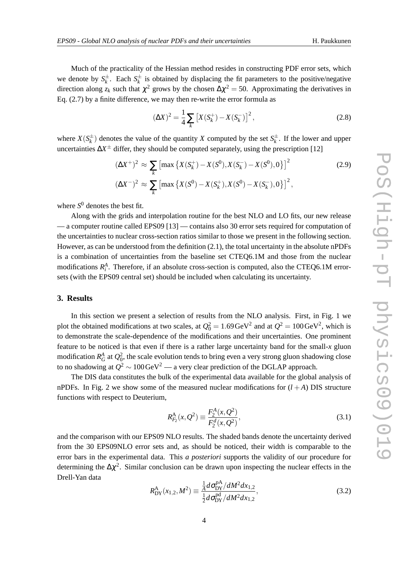Much of the practicality of the Hessian method resides in constructing PDF error sets, which we denote by  $S_k^{\pm}$ . Each  $S_k^{\pm}$  is obtained by displacing the fit parameters to the positive/negative direction along  $z_k$  such that  $\chi^2$  grows by the chosen  $\Delta \chi^2 = 50$ . Approximating the derivatives in Eq. (2.7) by a finite difference, we may then re-write the error formula as

$$
(\Delta X)^2 = \frac{1}{4} \sum_{k} \left[ X(S_k^+) - X(S_k^-) \right]^2,\tag{2.8}
$$

where  $X(S_k^{\pm})$  denotes the value of the quantity *X* computed by the set  $S_k^{\pm}$ . If the lower and upper uncertainties ∆*X* <sup>±</sup> differ, they should be computed separately, using the prescription [12]

$$
(\Delta X^+)^2 \approx \sum_{k} \left[ \max \left\{ X(S_k^+) - X(S^0), X(S_k^-) - X(S^0), 0 \right\} \right]^2
$$
\n
$$
(\Delta X^-)^2 \approx \sum_{k} \left[ \max \left\{ X(S^0) - X(S_k^+), X(S^0) - X(S_k^-), 0 \right\} \right]^2,
$$
\n(2.9)

where *S* <sup>0</sup> denotes the best fit.

Along with the grids and interpolation routine for the best NLO and LO fits, our new release — a computer routine called EPS09 [13] — contains also 30 error sets required for computation of the uncertainties to nuclear cross-section ratios similar to those we present in the following section. However, as can be understood from the definition (2.1), the total uncertainty in the absolute nPDFs is a combination of uncertainties from the baseline set CTEQ6.1M and those from the nuclear modifications  $R_i^A$ . Therefore, if an absolute cross-section is computed, also the CTEQ6.1M errorsets (with the EPS09 central set) should be included when calculating its uncertainty.

# **3. Results**

In this section we present a selection of results from the NLO analysis. First, in Fig. 1 we plot the obtained modifications at two scales, at  $Q_0^2 = 1.69 \,\text{GeV}^2$  and at  $Q^2 = 100 \,\text{GeV}^2$ , which is to demonstrate the scale-dependence of the modifications and their uncertainties. One prominent feature to be noticed is that even if there is a rather large uncertainty band for the small-*x* gluon modification  $R_G^A$  at  $Q_0^2$ , the scale evolution tends to bring even a very strong gluon shadowing close to no shadowing at  $Q^2$  ∼ 100 ${\rm GeV}^2$  — a very clear prediction of the DGLAP approach.

The DIS data constitutes the bulk of the experimental data available for the global analysis of nPDFs. In Fig. 2 we show some of the measured nuclear modifications for  $(l + A)$  DIS structure functions with respect to Deuterium,

$$
R_{F_2}^{\mathcal{A}}(x, Q^2) \equiv \frac{F_2^{\mathcal{A}}(x, Q^2)}{F_2^{\mathcal{A}}(x, Q^2)},
$$
\n(3.1)

and the comparison with our EPS09 NLO results. The shaded bands denote the uncertainty derived from the 30 EPS09NLO error sets and, as should be noticed, their width is comparable to the error bars in the experimental data. This *a posteriori* supports the validity of our procedure for determining the  $\Delta \chi^2$ . Similar conclusion can be drawn upon inspecting the nuclear effects in the Drell-Yan data

$$
R_{\rm DY}^{\rm A}(x_{1,2}, M^2) \equiv \frac{\frac{1}{A} d\sigma_{\rm DY}^{\rm pA} / dM^2 dx_{1,2}}{\frac{1}{2} d\sigma_{\rm DY}^{\rm pd} / dM^2 dx_{1,2}},
$$
(3.2)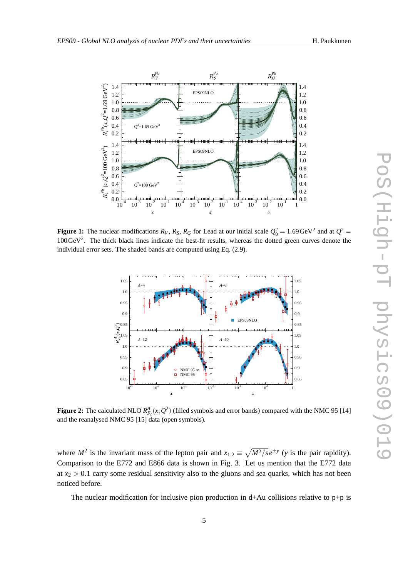

**Figure 1:** The nuclear modifications  $R_V$ ,  $R_S$ ,  $R_G$  for Lead at our initial scale  $Q_0^2 = 1.69 \text{ GeV}^2$  and at  $Q^2 =$  $100 \text{ GeV}^2$ . The thick black lines indicate the best-fit results, whereas the dotted green curves denote the individual error sets. The shaded bands are computed using Eq. (2.9).



**Figure 2:** The calculated NLO  $R_{F_2}^A(x, Q^2)$  (filled symbols and error bands) compared with the NMC 95 [14] and the reanalysed NMC 95 [15] data (open symbols).

where  $M^2$  is the invariant mass of the lepton pair and  $x_{1,2} \equiv \sqrt{M^2/s}e^{\pm y}$  (*y* is the pair rapidity). Comparison to the E772 and E866 data is shown in Fig. 3. Let us mention that the E772 data at  $x_2 > 0.1$  carry some residual sensitivity also to the gluons and sea quarks, which has not been noticed before.

The nuclear modification for inclusive pion production in  $d+Au$  collisions relative to  $p+p$  is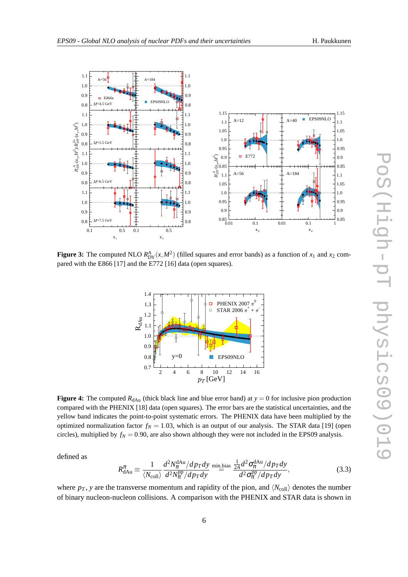



**Figure 3:** The computed NLO  $R_{DY}^{\mathbf{A}}(x, M^2)$  (filled squares and error bands) as a function of  $x_1$  and  $x_2$  compared with the E866 [17] and the E772 [16] data (open squares).



**Figure 4:** The computed  $R_{dAu}$  (thick black line and blue error band) at  $y = 0$  for inclusive pion production compared with the PHENIX [18] data (open squares). The error bars are the statistical uncertainties, and the yellow band indicates the point-to-point systematic errors. The PHENIX data have been multiplied by the optimized normalization factor  $f_N = 1.03$ , which is an output of our analysis. The STAR data [19] (open circles), multiplied by  $f_N = 0.90$ , are also shown although they were not included in the EPS09 analysis.

defined as

$$
R_{\text{dAu}}^{\pi} \equiv \frac{1}{\langle N_{\text{coll}} \rangle} \frac{d^2 N_{\pi}^{\text{dAu}}/dp_T dy}{d^2 N_{\pi}^{\text{pp}}/dp_T dy} \stackrel{\text{min-bias}}{=} \frac{\frac{1}{2A} d^2 \sigma_{\pi}^{\text{dAu}}/dp_T dy}{d^2 \sigma_{\pi}^{\text{pp}}/dp_T dy},
$$
(3.3)

where  $p_T$ , *y* are the transverse momentum and rapidity of the pion, and  $\langle N_{\text{coll}} \rangle$  denotes the number of binary nucleon-nucleon collisions. A comparison with the PHENIX and STAR data is shown in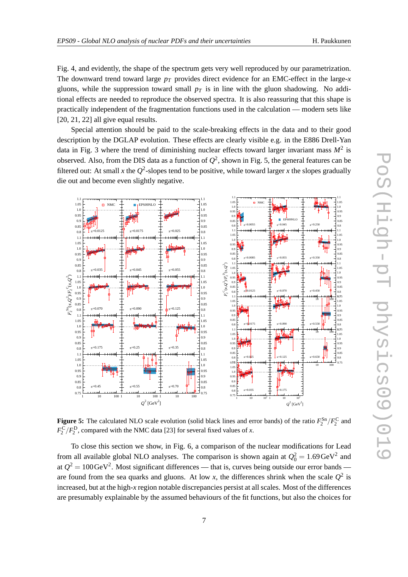Fig. 4, and evidently, the shape of the spectrum gets very well reproduced by our parametrization. The downward trend toward large  $p_T$  provides direct evidence for an EMC-effect in the large-*x* gluons, while the suppression toward small  $p<sub>T</sub>$  is in line with the gluon shadowing. No additional effects are needed to reproduce the observed spectra. It is also reassuring that this shape is practically independent of the fragmentation functions used in the calculation — modern sets like [20, 21, 22] all give equal results.

Special attention should be paid to the scale-breaking effects in the data and to their good description by the DGLAP evolution. These effects are clearly visible e.g. in the E886 Drell-Yan data in Fig. 3 where the trend of diminishing nuclear effects toward larger invariant mass *M*<sup>2</sup> is observed. Also, from the DIS data as a function of  $Q^2$ , shown in Fig. 5, the general features can be filtered out: At small *x* the  $Q^2$ -slopes tend to be positive, while toward larger *x* the slopes gradually die out and become even slightly negative.



**Figure 5:** The calculated NLO scale evolution (solid black lines and error bands) of the ratio  $F_2^{\text{Sn}}/F_2^{\text{C}}$  and  $F_2^C/F_2^D$ , compared with the NMC data [23] for several fixed values of *x*.

To close this section we show, in Fig. 6, a comparison of the nuclear modifications for Lead from all available global NLO analyses. The comparison is shown again at  $Q_0^2 = 1.69 \text{ GeV}^2$  and at  $Q^2 = 100 \,\text{GeV}^2$ . Most significant differences — that is, curves being outside our error bands are found from the sea quarks and gluons. At low x, the differences shrink when the scale  $Q^2$  is increased, but at the high-*x* region notable discrepancies persist at all scales. Most of the differences are presumably explainable by the assumed behaviours of the fit functions, but also the choices for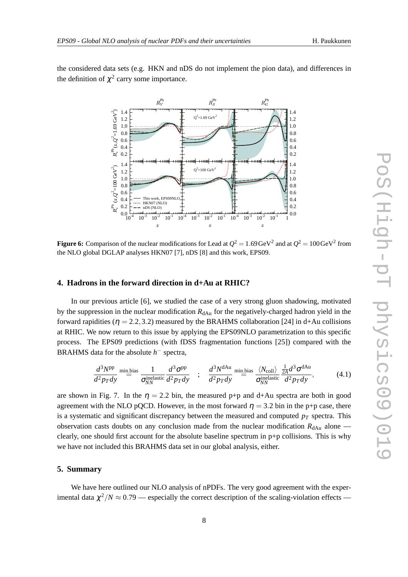the considered data sets (e.g. HKN and nDS do not implement the pion data), and differences in the definition of  $\chi^2$  carry some importance.



**Figure 6:** Comparison of the nuclear modifications for Lead at  $Q^2 = 1.69 \,\text{GeV}^2$  and at  $Q^2 = 100 \,\text{GeV}^2$  from the NLO global DGLAP analyses HKN07 [7], nDS [8] and this work, EPS09.

# **4. Hadrons in the forward direction in d+Au at RHIC?**

In our previous article [6], we studied the case of a very strong gluon shadowing, motivated by the suppression in the nuclear modification  $R_{dAu}$  for the negatively-charged hadron yield in the forward rapidities ( $\eta = 2.2, 3.2$ ) measured by the BRAHMS collaboration [24] in d+Au collisions at RHIC. We now return to this issue by applying the EPS09NLO parametrization to this specific process. The EPS09 predictions (with fDSS fragmentation functions [25]) compared with the BRAHMS data for the absolute  $h^-$  spectra,

$$
\frac{d^3N^{\rm pp}}{d^2p_Tdy} \stackrel{\text{min. bias}}{=} \frac{1}{\sigma_{NN}^{\rm inelastic}} \frac{d^3\sigma^{\rm pp}}{d^2p_Tdy} \quad ; \quad \frac{d^3N^{\rm dAu}}{d^2p_Tdy} \stackrel{\text{min. bias}}{=} \frac{\langle N_{\rm coll} \rangle}{\sigma_{NN}^{\rm inelastic}} \frac{\frac{1}{2A}d^3\sigma^{\rm dAu}}{d^2p_Tdy}, \tag{4.1}
$$

are shown in Fig. 7. In the  $\eta = 2.2$  bin, the measured p+p and d+Au spectra are both in good agreement with the NLO pQCD. However, in the most forward  $\eta = 3.2$  bin in the p+p case, there is a systematic and significant discrepancy between the measured and computed  $p_T$  spectra. This observation casts doubts on any conclusion made from the nuclear modification  $R_{dAu}$  alone clearly, one should first account for the absolute baseline spectrum in p+p collisions. This is why we have not included this BRAHMS data set in our global analysis, either.

### **5. Summary**

We have here outlined our NLO analysis of nPDFs. The very good agreement with the experimental data  $\chi^2/N \approx 0.79$  — especially the correct description of the scaling-violation effects —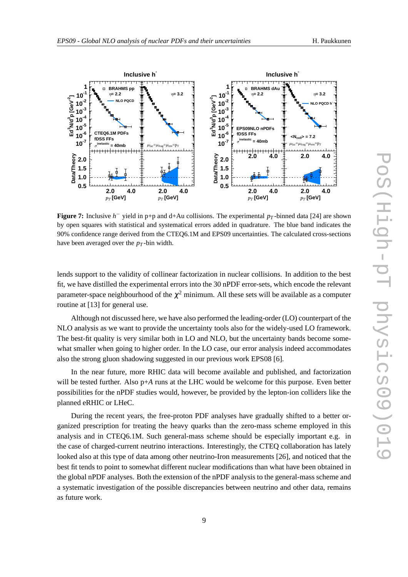

**Figure 7:** Inclusive *h* <sup>−</sup> yield in p+p and d+Au collisions. The experimental *p<sup>T</sup>* -binned data [24] are shown by open squares with statistical and systematical errors added in quadrature. The blue band indicates the 90% confidence range derived from the CTEQ6.1M and EPS09 uncertainties. The calculated cross-sections have been averaged over the *p<sup>T</sup>* -bin width.

lends support to the validity of collinear factorization in nuclear collisions. In addition to the best fit, we have distilled the experimental errors into the 30 nPDF error-sets, which encode the relevant parameter-space neighbourhood of the  $\chi^2$  minimum. All these sets will be available as a computer routine at [13] for general use.

Although not discussed here, we have also performed the leading-order (LO) counterpart of the NLO analysis as we want to provide the uncertainty tools also for the widely-used LO framework. The best-fit quality is very similar both in LO and NLO, but the uncertainty bands become somewhat smaller when going to higher order. In the LO case, our error analysis indeed accommodates also the strong gluon shadowing suggested in our previous work EPS08 [6].

In the near future, more RHIC data will become available and published, and factorization will be tested further. Also p+*A* runs at the LHC would be welcome for this purpose. Even better possibilities for the nPDF studies would, however, be provided by the lepton-ion colliders like the planned eRHIC or LHeC.

During the recent years, the free-proton PDF analyses have gradually shifted to a better organized prescription for treating the heavy quarks than the zero-mass scheme employed in this analysis and in CTEQ6.1M. Such general-mass scheme should be especially important e.g. in the case of charged-current neutrino interactions. Interestingly, the CTEQ collaboration has lately looked also at this type of data among other neutrino-Iron measurements [26], and noticed that the best fit tends to point to somewhat different nuclear modifications than what have been obtained in the global nPDF analyses. Both the extension of the nPDF analysis to the general-mass scheme and a systematic investigation of the possible discrepancies between neutrino and other data, remains as future work.